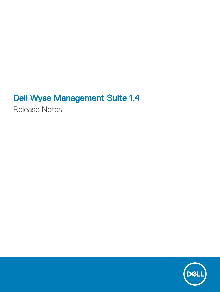# Dell Wyse Management Suite 1.4

Release Notes

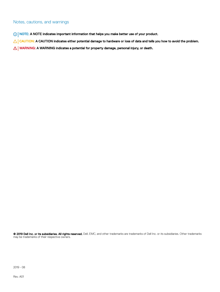#### Notes, cautions, and warnings

- NOTE: A NOTE indicates important information that helps you make better use of your product.
- △ CAUTION: A CAUTION indicates either potential damage to hardware or loss of data and tells you how to avoid the problem.
- **A WARNING: A WARNING indicates a potential for property damage, personal injury, or death.**

© 2019 Dell Inc. or its subsidiaries. All rights reserved. Dell, EMC, and other trademarks are trademarks of Dell Inc. or its subsidiaries. Other trademarks may be trademarks of their respective owners.

2019 - 08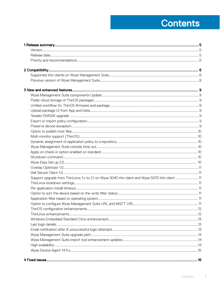# **Contents**

| Support upgrade from ThinLinux 1.x to 2.1 on Wyse 3040 thin client and Wyse 5070 thin client 11 |  |
|-------------------------------------------------------------------------------------------------|--|
|                                                                                                 |  |
|                                                                                                 |  |
|                                                                                                 |  |
|                                                                                                 |  |
|                                                                                                 |  |
|                                                                                                 |  |
|                                                                                                 |  |
|                                                                                                 |  |
|                                                                                                 |  |
|                                                                                                 |  |
|                                                                                                 |  |
|                                                                                                 |  |
|                                                                                                 |  |
|                                                                                                 |  |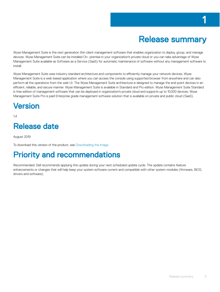<span id="page-4-0"></span>Wyse Management Suite is the next generation thin client management software that enables organization to deploy, group, and manage devices. Wyse Management Suite can be installed On- premise in your organization's private cloud or you can take advantage of Wyse Management Suite available as Software as a Service (SaaS) for automatic maintenance of software without any management software to install.

Wyse Management Suite uses industry standard architecture and components to efficiently manage your network devices. Wyse Management Suite is a web-based application where you can access the console using supported browser from anywhere and can also perform all the operations from the web UI. The Wyse Management Suite architecture is designed to manage the end-point devices in an efficient, reliable, and secure manner. Wyse Management Suite is available in Standard and Pro edition. Wyse Management Suite Standard is free edition of management software that can be deployed in organization's private cloud and supports up to 10,000 devices. Wyse Management Suite Pro is paid Enterprise grade management software solution that is available on private and public cloud (SaaS).

### Version

1.4

## Release date

August 2019

To download this version of the product, see [Downloading the image.](#page-20-0)

## Priority and recommendations

Recommended: Dell recommends applying this update during your next scheduled update cycle. The update contains feature enhancements or changes that will help keep your system software current and compatible with other system modules (firmware, BIOS, drivers and software).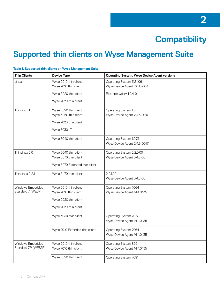

## <span id="page-5-0"></span>Supported thin clients on Wyse Management Suite

| <b>Thin Clients</b> | <b>Device Type</b>             | <b>Operating System, Wyse Device Agent versions</b> |
|---------------------|--------------------------------|-----------------------------------------------------|
| Linux               | Wyse 5010 thin client          | Operating System 11.3.106                           |
|                     | Wyse 7010 thin client          | Wyse Device Agent 2.0.13-00.1                       |
|                     | Wyse 5020 thin client          | Platform Utility 1.0.4-0.1                          |
|                     | Wyse 7020 thin client          |                                                     |
| ThinLinux 1.0       | Wyse 5020 thin client          | Operating System 1.0.7                              |
|                     | Wyse 5060 thin client          | Wyse Device Agent 2.4.3-00.01                       |
|                     | Wyse 7020 thin client          |                                                     |
|                     | Wyse 3030 LT                   |                                                     |
|                     | Wyse 3040 thin client          | Operating System 1.0.7.1                            |
|                     |                                | Wyse Device Agent 2.4.3-00.01                       |
| ThinLinux 2.0       | Wyse 3040 thin client          | Operating System 2.2.0.00                           |
|                     | Wyse 5070 thin client          | Wyse Device Agent 3.4.6-05                          |
|                     | Wyse 5070 Extended thin client |                                                     |
| ThinLinux 2.2.1     | Wyse 5470 thin client          | 2.2.1.00                                            |
|                     |                                | Wyse Device Agent 3.4.6-06                          |
| Windows Embedded    | Wyse 5010 thin client          | Operating System 7064                               |
| Standard 7 (WES7)   | Wyse 7010 thin client          | Wyse Device Agent 14.4.0.135                        |
|                     | Wyse 5020 thin client          |                                                     |
|                     | Wyse 7020 thin client          |                                                     |
|                     | Wyse 3030 thin client          | Operating System 7077                               |
|                     |                                | Wyse Device Agent 14.4.0.135                        |
|                     | Wyse 7010 Extended thin client | Operating System 7064                               |
|                     |                                | Wyse Device Agent 14.4.0.135                        |
| Windows Embedded    | Wyse 5010 thin client          | Operating System 896                                |
| Standard 7P (WES7P) | Wyse 7010 thin client          | Wyse Device Agent 14.4.0.135                        |
|                     | Wyse 5020 thin client          | Operating System 7091                               |

#### Table 1. Supported thin clients on Wyse Management Suite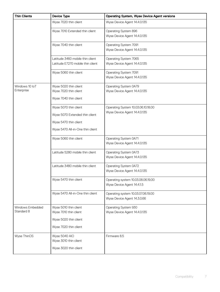| <b>Thin Clients</b> | <b>Device Type</b>                | <b>Operating System, Wyse Device Agent versions</b> |
|---------------------|-----------------------------------|-----------------------------------------------------|
|                     | Wyse 7020 thin client             | Wyse Device Agent 14.4.0.135                        |
|                     | Wyse 7010 Extended thin client    | Operating System 896                                |
|                     |                                   | Wyse Device Agent 14.4.0.135                        |
|                     | Wyse 7040 thin client             | Operating System 7091                               |
|                     |                                   | Wyse Device Agent 14.4.0.135                        |
|                     | Latitude 3460 mobile thin client  | Operating System 7065                               |
|                     | Latitude E7270 mobile thin client | Wyse Device Agent 14.4.0.135                        |
|                     | Wyse 5060 thin client             | Operating System 7091                               |
|                     |                                   | Wyse Device Agent 14.4.0.135                        |
| Windows 10 IoT      | Wyse 5020 thin client             | Operating System 0A79                               |
| Enterprise          | Wyse 7020 thin client             | Wyse Device Agent 14.4.0.135                        |
|                     | Wyse 7040 thin client             |                                                     |
|                     | Wyse 5070 thin client             | Operating System 10.03.06.10.18.00                  |
|                     | Wyse 5070 Extended thin client    | Wyse Device Agent 14.4.0.135                        |
|                     | Wyse 5470 thin client             |                                                     |
|                     | Wyse 5470 All-in-One thin client  |                                                     |
|                     | Wyse 5060 thin client             | Operating System 0A71                               |
|                     |                                   | Wyse Device Agent 14.4.0.135                        |
|                     | Latitude 5280 mobile thin client  | Operating System 0A73                               |
|                     |                                   | Wyse Device Agent 14.4.0.135                        |
|                     | Latitude 3480 mobile thin client  | Operating System 0A72                               |
|                     |                                   | Wyse Device Agent 14.4.0.135                        |
|                     | Wyse 5470 thin client             | Operating system 10.03.08.06.19.00                  |
|                     |                                   | Wyse Device Agent 14.4.1.5                          |
|                     | Wyse 5470 All-in-One thin client  | Operating system 10.03.07.06.19.00                  |
|                     |                                   | Wyse Device Agent 14.3.0.66                         |
| Windows Embedded    | Wyse 5010 thin client             | Operating System 930                                |
| Standard 8          | Wyse 7010 thin client             | Wyse Device Agent 14.4.0.135                        |
|                     | Wyse 5020 thin client             |                                                     |
|                     | Wyse 7020 thin client             |                                                     |
| Wyse ThinOS         | Wyse 5040 AIO                     | Firmware 8.5                                        |
|                     | Wyse 3010 thin client             |                                                     |
|                     | Wyse 3020 thin client             |                                                     |
|                     |                                   |                                                     |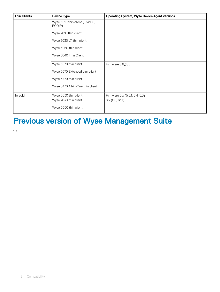<span id="page-7-0"></span>

| <b>Thin Clients</b> | <b>Device Type</b>                       | <b>Operating System, Wyse Device Agent versions</b> |
|---------------------|------------------------------------------|-----------------------------------------------------|
|                     | Wyse 5010 thin client (ThinOS,<br>PCOIP) |                                                     |
|                     | Wyse 7010 thin client                    |                                                     |
|                     | Wyse 3030 LT thin client                 |                                                     |
|                     | Wyse 5060 thin client                    |                                                     |
|                     | Wyse 3040 Thin Client                    |                                                     |
|                     | Wyse 5070 thin client                    | Firmware 8.6_185                                    |
|                     | Wyse 5070 Extended thin client           |                                                     |
|                     | Wyse 5470 thin client                    |                                                     |
|                     | Wyse 5470 All-in-One thin client         |                                                     |
| Teradici            | Wyse 5030 thin client,                   | Firmware 5.x (5.5.1, 5.4, 5.3)                      |
|                     | Wyse 7030 thin client                    | 6x(6.0, 6.1.1)                                      |
|                     | Wyse 5050 thin client                    |                                                     |

# Previous version of Wyse Management Suite

1.3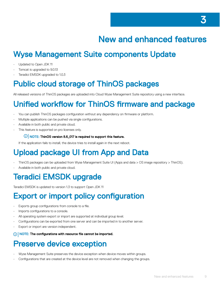## New and enhanced features

## <span id="page-8-0"></span>Wyse Management Suite components Update

- Updated to Open JDK 11
- Tomcat is upgraded to 9.0.13
- Teradici EMSDK upgraded to 1.0.3

## Public cloud storage of ThinOS packages

All released versions of ThinOS packages are uploaded into Cloud Wyse Management Suite repository using a new interface.

### Unified workflow for ThinOS firmware and package

- You can publish ThinOS packages configuration without any dependency on firmware or platform.
- Multiple applications can be pushed via single configurations.
- Available in both public and private cloud.
- This feature is supported on pro licenses only.

#### $\circ$  NOTE: ThinOS version 8.6\_017 is required to support this feature.

If the application fails to install, the device tries to install again in the next reboot.

## Upload package UI from App and Data

- ThinOS packages can be uploaded from Wyse Management Suite UI (Apps and data > OS image repository > ThinOS).
- Available in both public and private cloud.

## Teradici EMSDK upgrade

Teradici EMSDK is updated to version 1.3 to support Open JDK 11

### Export or import policy configuration

- Exports group configurations from console to a file.
- Imports configurations to a console.
- All operating system export or import are supported at individual group level.
- Configurations can be exported from one server and can be imported in to another server.
- Export or import are version independent.
- (i) NOTE: The configurations with resource file cannot be imported.

### Preserve device exception

- Wyse Management Suite preserves the device exception when device moves within groups.
- Configurations that are created at the device level are not removed when changing the groups.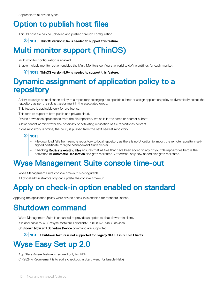<span id="page-9-0"></span>• Applicable to all device types.

### Option to publish host files

- ThinOS host file can be uploaded and pushed through configuration.
	- $\circ$  NOTE: ThinOS version 8.6+ is needed to support this feature.

## Multi monitor support (ThinOS)

- Multi monitor configuration is enabled.
- Enable multiple monitor option enables the Multi Monitors configuration grid to define settings for each monitor.

#### $\circ$  NOTE: ThinOS version 8.6+ is needed to support this feature.

#### Dynamic assignment of application policy to a repository

- Ability to assign an application policy to a repository belonging a to specific subnet or assign application policy to dynamically select the repository as per the subnet assignment in the associated group.
- This feature is applicable only for pro license.
- This feature supports both public and private cloud.
- Device downloads applications from the file repository which is in the same or nearest subnet.
- Allows tenant administrator the possibility of activating replication of file repositories content.
- If one repository is offline, the policy is pushed from the next nearest repository.

#### $\circledR$  NOTE:

- File download fails from remote repository to local repository as there is no UI option to import the remote repository selfsigned certificate to Wyse Management Suite Server.
- Checking Replicate existing files ensures that all files that have been added to any of your file repositories before the activation of **Automatic Replication** also gets replicated. Otherwise, only new added files gets replicated.

### Wyse Management Suite console time-out

- Wyse Management Suite console time-out is configurable.
- All global administrators only can update the console time-out.

### Apply on check-in option enabled on standard

Applying the application policy while device check-in is enabled for standard license.

### Shutdown command

- Wyse Management Suite is enhanced to provide an option to shut down thin client.
- It is applicable to WES/Wyse software Thinclient/ThinLinux/ThinOS devices.
- **Shutdown Now and Schedule Device command are supported.**

 $\bigcirc$  NOTE: Shutdown feature is not supported for Legacy SUSE Linux Thin Clients.

## Wyse Easy Set up 2.0

- App State Aware feature is required only for RDP
- CIR98247(Requirement is to add a checkbox in Start Menu for Enable Help)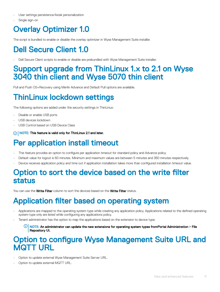- <span id="page-10-0"></span>User settings persistence/kiosk personalization
- Single sign-on

## Overlay Optimizer 1.0

The script is bundled to enable or disable the overlay optimizer in Wyse Management Suite installer.

## Dell Secure Client 1.0

• Dell Secure Client scripts to enable or disable are prebundled with Wyse Management Suite installer.

#### Support upgrade from ThinLinux 1.x to 2.1 on Wyse 3040 thin client and Wyse 5070 thin client

Pull and Push OS+Recovery using Merlin Advance and Default Pull options are available.

## ThinLinux lockdown settings

The following options are added under the security settings in ThinLinux:

- Disable or enable USB ports
- USB devices lockdown
- USB Control based on USB Device Class

(i) NOTE: This feature is valid only for ThinLinux 2.1 and later.

### Per application install timeout

- This feature provides an option to configure per application timeout for standard policy and Advance policy.
- Default value for logout is 60 minutes. Minimum and maximum values are between 5 minutes and 360 minutes respectively.
- Device receives application policy and time out if application installation takes more than configured installation timeout value.

#### Option to sort the device based on the write filter status

You can use the Write Filter column to sort the devices based on the Write Filter status.

### Application filter based on operating system

- Applications are mapped to the operating system type while creating any application policy. Applications related to the defined operating system type only are listed while configuring any applications policy.
- Tenant administrator has the option to map the applications based on the extension to device type.
	- $\odot$ NOTE: An administrator can update the new extensions for operating system types fromPortal Administration **>** File Repository UI.

#### Option to configure Wyse Management Suite URL and MQTT URL

- Option to update external Wyse Management Suite Server URL.
- Option to update external MQTT URL.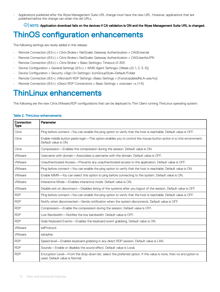<span id="page-11-0"></span>• Applications published after the Wyse Management Suite URL change must have the new URL. However, applications that are published before the change can retain the old URLs.

#### $\circled{0}$  NOTE: Application download fails on the devices if CA validation is ON and the Wyse Management Suite URL is changed.

### ThinOS configuration enhancements

The following settings are newly added in this release:

- Remote Connection (8.5+) > Citrix Broker> NetScaler Gateway Authentication > CAGExternal
- Remote Connection (8.5+) > Citrix Broker> NetScaler Gateway Authentication > CAGUserAsUPN
- Remote Connection (8.5+) > Citrix Broker > Basic Settings> Timeout=5-300
- Device Configuration > General Settings (8.5+) > WMS Agent Settings> [Week={0, 1, 2, 3, 4}]
- Device Configuration > Security >Sign On Settings> IconGroupStyle=Default/Folder
- Remote Connection (8.5+) >Microsoft RDP Settings >Basic Settings > [ForceUpdatedNLA=yes/no]
- Remote Connection (8.5+) >Direct RDP Connections > Basic Settings > onscreen =x (1-6)

#### ThinLinux enhancements

The following are the new Citrix,VMware,RDP configurations that can be deployed to Thin Client running ThinLinux operating system:

| Connection<br>Type | Parameter                                                                                                                                            |
|--------------------|------------------------------------------------------------------------------------------------------------------------------------------------------|
| Citrix             | Ping before connect—You can enable the ping option to verify that the host is reachable. Default value is OFF.                                       |
| Citrix             | Enable middle button paste login-This option enables you to control the mouse button action in a Unix environment.<br>Default value is ON.           |
| Citrix             | Compression—Enables the compression during the session. Default value is ON.                                                                         |
| VMware             | Username with domain—Associates a username with the domain. Default value is OFF.                                                                    |
| <b>VMware</b>      | Unauthenticated Access—Prevents any unauthenticated access to the application. Default value is OFF.                                                 |
| VMware             | Ping before connect—You can enable the ping option to verify that the host is reachable. Default value is ON.                                        |
| VMware             | Enable MMR-You can select this option to ping before connecting to the system. Default value is ON.                                                  |
| VMware             | Interactive Mode—Enables interactive mode. Default value is ON.                                                                                      |
| <b>VMware</b>      | Disable exit on disconnect—Disables listing of the systems after you logout of the session. Default value is OFF.                                    |
| <b>RDP</b>         | Ping before connect—You can enable the ping option to verify that the host is reachable. Default value is OFF.                                       |
| <b>RDP</b>         | Notify when disconnected—Sends notification when the system disconnects. Default value is OFF.                                                       |
| <b>RDP</b>         | Compression—Enable the compression during the session. Default value is OFF.                                                                         |
| <b>RDP</b>         | Low Bandwidth—Notifies the low bandwidth. Default value is OFF.                                                                                      |
| <b>RDP</b>         | Grab Keyboard Events—Enables the keyboard event grabbing. Default value is ON.                                                                       |
| VMware             | sslProtocol.                                                                                                                                         |
| VMware             | sslcipher.                                                                                                                                           |
| <b>RDP</b>         | Speed level—Enables keyboard grabbing in any direct RDP session. Default value is LAN.                                                               |
| <b>RDP</b>         | Sounds—Enable or disables the sound effect. Default value is Local.                                                                                  |
| <b>RDP</b>         | Encryption Level-From the drop-down list, select the preferred option. If the value is none, then no encryption is<br>used. Default value is Normal. |

#### Table 2. ThinLinux enhancements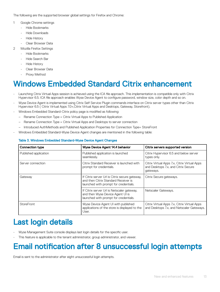<span id="page-12-0"></span>The following are the supported browser global settings for Firefox and Chrome:

- 1 Google Chrome settings
	- Hide Bookmarks
	- Hide Downloads
	- Hide History
	- Clear Browser Data
- 2 Mozilla Firefox Settings
	- Hide Bookmarks
	- Hide Search Bar
	- Hide History
	- Clear Browser Data
	- Proxy Method

### Windows Embedded Standard Citrix enhancement

- Launching Citrix Virtual Apps session is achieved using the ICA file approach. This implementation is compatible only with Citrix Hypervisor 6.5. ICA file approach enables Wyse Device Agent to configure password, window size, color depth and so on.
- Wyse Device Agent is implemented using Citrix Self Service Plugin commands interface on Citrix server types other than Citrix Hypervisor 6.5 ( Citrix Virtual Apps 7.0+,Citrix Virtual Apps and Desktops, Gateway, Storefront).
- Windows Embedded Standard-Citrix policy page is modified as following:
	- Rename Connection Type = Citrix Virtual Apps to Published Application
	- Rename Connection Type = Citrix Virtual Apps and Desktops to server connection
- Introduced AuthMethods and Published Application Properties for Connection Type= StoreFront
- Windows Embedded Standard-Wyse Device Agent changes are mentioned in the following table:

| <b>Connection type</b>                                                                                                                     | Wyse Device Agent 14.4 behavior                                                                                                                                          | Citrix servers supported version                                                          |
|--------------------------------------------------------------------------------------------------------------------------------------------|--------------------------------------------------------------------------------------------------------------------------------------------------------------------------|-------------------------------------------------------------------------------------------|
| Published application                                                                                                                      | Published application is launched<br>seamlessly.                                                                                                                         | Citrix Hypervisor 6.5 and below server<br>types only.                                     |
| Server connection                                                                                                                          | Citrix Standard Receiver is launched with<br>Citrix Virtual Apps 7.x, Citrix Virtual Apps<br>and Desktops 7.x, and Citrix Secure<br>prompt for credentials.<br>gateways. |                                                                                           |
| If Citrix server Url is Citrix secure gateway,<br>Gateway<br>and then Citrix Standard Receiver is<br>launched with prompt for credentials. |                                                                                                                                                                          | Citrix Secure gateways.                                                                   |
|                                                                                                                                            | If Citrix server Url is Netscaler gateway,<br>and then Wyse Device Agent UI is<br>launched with prompt for credentials.                                                  | Netscaler Gateways.                                                                       |
| <b>StoreFront</b>                                                                                                                          | Wyse Device Agent UI with published<br>applications of the store is displayed to the<br>User.                                                                            | Citrix Virtual Apps 7.x, Citrix Virtual Apps<br>and Desktops 7.x, and Netscaler Gateways. |

#### Table 3. Windows Embedded Standard-Wyse Device Agent Changes

### Last login details

- Wyse Management Suite console displays last login details for the specific user.
- This feature is applicable to the tenant administrator, group administrator, and viewer.

## Email notification after 8 unsuccessful login attempts

Email is sent to the administrator after eight unsuccessful login attempts.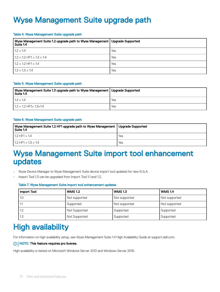## <span id="page-13-0"></span>Wyse Management Suite upgrade path

#### Table 4. Wyse Management Suite upgrade path

| Wyse Management Suite 1.2 upgrade path to Wyse Management   Upgrade Supported<br>Suite 1.4 |     |
|--------------------------------------------------------------------------------------------|-----|
| 1.2 > 1.4                                                                                  | Yes |
| $11.2 > 1.2$ HF1 $> 1.3 > 1.4$                                                             | Yes |
| $1.2 > 1.2$ HF1 > 1.4                                                                      | Yes |
| 1.2 > 1.3 > 1.4                                                                            | Yes |

#### Table 5. Wyse Management Suite upgrade path

| Wyse Management Suite 1.3 upgrade path to Wyse Management   Upgrade Supported<br>Suite 1.4 |     |
|--------------------------------------------------------------------------------------------|-----|
| 11.3 > 1.4                                                                                 | Yes |
| $11.2 > 1.2$ HF1 $> 1.3 > 1.4$                                                             | Yes |

#### Table 6. Wyse Management Suite upgrade path

| Wyse Management Suite 1.2 HF1 upgrade path to Wyse Management   Upgrade Supported<br>Suite 1.4 |     |
|------------------------------------------------------------------------------------------------|-----|
| $11.2$ HF1 $> 1.4$                                                                             | Yes |
| $11.2$ HF1 > 1.3 > 1.4                                                                         | Yes |

#### Wyse Management Suite import tool enhancement updates

- Wyse Device Manager to Wyse Management Suite device import tool updated for new EULA.
- Import Tool 1.3 can be upgraded from Import Tool 1.1 and 1.2.

#### Table 7. Wyse Management Suite import tool enhancement updates

| Import Tool | <b>WMS 1.2</b> | <b>WMS1.3</b> | <b>WMS 1.4</b> |
|-------------|----------------|---------------|----------------|
| 1.0         | Not supported  | Not supported | Not supported  |
| l 1.1       | Supported      | Not supported | Not supported  |
| 1.2         | Not Supported  | Supported     | Supported      |
| 1.3         | Not Supported  | Supported     | Supported      |

### High availability

For information on high availability setup, see Wyse Management Suite 1.4 High Availability Guide at support.dell.com.

#### NOTE: This feature requires pro license.

High availability is tested on Microsoft Windows Server 2012 and Windows Server 2016.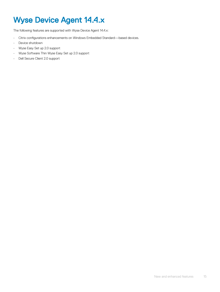# <span id="page-14-0"></span>Wyse Device Agent 14.4.x

The following features are supported with Wyse Device Agent 14.4.x:

- Citrix configurations enhancements on Windows Embedded Standard—based devices.
- Device shutdown
- Wyse Easy Set up 2.0 support
- Wyse Software Thin Wyse Easy Set up 2.0 support
- Dell Secure Client 2.0 support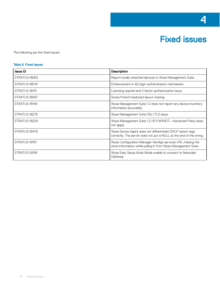

<span id="page-15-0"></span>The following are the fixed issues:

#### Table 8. Fixed issues

| <b>Issue ID</b> | Description                                                                                                                      |
|-----------------|----------------------------------------------------------------------------------------------------------------------------------|
| STRATUS-18063   | Report locally attached devices to Wyse Management Suite.                                                                        |
| STRATUS-18076   | Enhancement in AD login authentication mechanism.                                                                                |
| STRATUS-18113   | Licensing expired and 2 factor-authentication issue.                                                                             |
| STRATUS-18067   | Swiss/French keyboard layout missing.                                                                                            |
| STRATUS-18149   | Wyse Management Suite 1.2 does not report any device inventory<br>information accurately.                                        |
| STRATUS-18276   | Wyse Management Suite SSL/TLS issue.                                                                                             |
| STRATUS-18229   | Wyse Management Suite 1.2 HF1/W10IOT—Advanced Policy does<br>not apply.                                                          |
| STRATUS-18479   | Wyse Device Agent does not differentiate DHCP option tags<br>correctly. The server does not put a NULL at the end of the string. |
| STRATUS-19157   | Wyse Configuration Manager XenApp services URL missing the<br>store information while pulling it from Wyse Management Suite.     |
| STRATUS-19156   | Wyse Easy Setup Kiosk Mode unable to connect to Netscaler<br>Gateway.                                                            |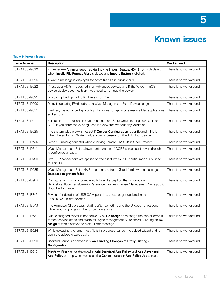# Known issues

#### <span id="page-16-0"></span>Table 9. Known Issues

| <b>Issue Number</b> | Description                                                                                                                                                                                                                           | Workaround              |
|---------------------|---------------------------------------------------------------------------------------------------------------------------------------------------------------------------------------------------------------------------------------|-------------------------|
| STRATUS-19629       | A message-An error occurred during the import!Status: 404 Error is displayed<br>when Invalid File Format Alert is closed and Import Button is clicked.                                                                                | There is no workaround. |
| STRATUS-19626       | A wrong message is displayed for hosts file size in public cloud.                                                                                                                                                                     | There is no workaround. |
| STRATUS-19622       | If resolution= $8*($ )- is pushed in an Advanced payload and if the Wyse ThinOS<br>device display becomes blank, you need to reimage the device.                                                                                      | There is no workaround. |
| STRATUS-19621       | You can upload up to 100 KB File as host file.                                                                                                                                                                                        | There is no workaround. |
| STRATUS-19590       | Delay in updating IPV6 address in Wyse Management Suite Devices page.                                                                                                                                                                 | There is no workaround. |
| STRATUS-19555       | If edited, the advanced app policy filter does not apply on already added applications<br>and scripts.                                                                                                                                | There is no workaround. |
| STRATUS-19541       | Validation is not present in Wyse Management Suite while creating new user for<br>CIFS. If you enter the existing user, it overwrites without any validation.                                                                         | There is no workaround. |
| STRATUS-19525       | The system wide proxy is not set if <b>Central Configuration</b> is configured. This is<br>when the addon for System-wide proxy is present on the ThinLinux device.                                                                   | There is no workaround. |
| STRATUS-19435       | Teradici - missing tenantId when querying Teradici EM SDK in Code Review.                                                                                                                                                             | There is no workaround. |
| STRATUS-19314       | Wyse Management Suite allows configuration of OOBE screen again even though it<br>is configured already.                                                                                                                              | There is no workaround. |
| STRATUS-19250       | Two RDP connections are applied on the client when RDP configuration is pushed<br>to ThinOS.                                                                                                                                          | There is no workaround. |
| STRATUS-19085       | Wyse Management Suite HA Setup upgrade from 1.3 to 1.4 fails with a message-<br>Database migration failed.                                                                                                                            | There is no workaround. |
| STRATUS-18983       | Configuration Push not completed fully and exception that is found on<br>DeviceEventCounter Queue in Rebalance Queues in Wyse Management Suite public<br>cloud Performance.                                                           | There is no workaround. |
| STRATUS-18746       | Payload for deletion of USB COM port data does not get updated in the<br>ThinLinux2.0 client devices.                                                                                                                                 | There is no workaround. |
| STRATUS-18543       | The Animated Circle Stops rotating after sometime and the UI does not respond<br>while importing large number of configurations.                                                                                                      | There is no workaround. |
| STRATUS-19631       | Queue assigned server is not active. Click Re Assign to re assign the server error, if<br>tomcat service stops and starts for Wyse management Suite server. Clicking on Re<br><b>assign</b> button displays the Alert: Error message. | There is no workaround. |
| STRATUS-19624       | While uploading the larger host file is in-progress, cancel the upload wizard and re-<br>open the upload wizard again.                                                                                                                | There is no workaround. |
| STRATUS-19620       | Backend Script is displayed in View Pending Changes of Proxy Settings<br>Configuration.                                                                                                                                               | There is no workaround. |
| STRATUS-19619       | Platform Filter is not displayed in Add Standard App Policy and Add Advanced<br>App Policy pop-up when you click the Cancel button in App Policy Job screen.                                                                          | There is no workaround. |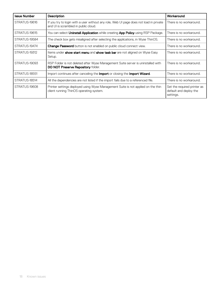| <b>Issue Number</b> | <b>Description</b>                                                                                                             | Workaround                                                         |
|---------------------|--------------------------------------------------------------------------------------------------------------------------------|--------------------------------------------------------------------|
| STRATUS-19616       | If you try to login with a user without any role, Web UI page does not load in private<br>and UI is scrambled in public cloud. | There is no workaround.                                            |
| STRATUS-19615       | You can select <b>Uninstall Application</b> while creating <b>App Policy</b> using RSP Package.                                | There is no workaround.                                            |
| STRATUS-19584       | The check box gets misaligned after selecting the applications, in Wyse ThinOS.                                                | There is no workaround.                                            |
| STRATUS-19474       | Change Password button is not enabled on public cloud connect view.                                                            | There is no workaround.                                            |
| STRATUS-19312       | Items under <b>show start menu</b> and <b>show task bar</b> are not aligned on Wyse Easy<br>Setup.                             | There is no workaround.                                            |
| STRATUS-19093       | RSP Folder is not deleted after Wyse Management Suite server is uninstalled with<br><b>DO NOT Preserve Repository folder.</b>  | There is no workaround.                                            |
| STRATUS-18551       | Import continues after canceling the <b>Import</b> or closing the <b>Import Wizard</b> .                                       | There is no workaround.                                            |
| STRATUS-18514       | All the dependencies are not listed if the import fails due to a referenced file.                                              | There is no workaround.                                            |
| STRATUS-19608       | Printer settings deployed using Wyse Management Suite is not applied on the thin<br>client running ThinOS operating system.    | Set the required printer as<br>default and deploy the<br>settings. |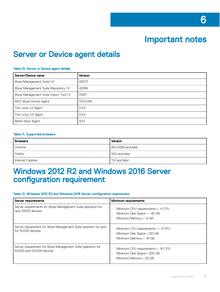### Important notes

### <span id="page-18-0"></span>Server or Device agent details

#### Table 10. Server or Device agent details

| Server/Device name                    | <b>Version</b> |
|---------------------------------------|----------------|
| Wyse Management Suite 1.4             | 42073          |
| Wyse Management Suite Repository 1.4  | 42069          |
| Wyse Management Suite Import Tool 1.3 | 41937          |
| WES Wyse Device Agent                 | 14.4.0.135     |
| Thin Linux 1.0 Agent                  | 2.4.3          |
| Thin Linux 2.0 Agent                  | 3.4.6          |
| Merlin Boot Agent                     | 4.0.1          |

#### Table 11. Supported browsers

| <b>Browsers</b>   | Version              |
|-------------------|----------------------|
| Chrome            | 166.0.3359 and later |
| Firefox           | 156.0 and later      |
| Internet Explorer | 11.0 and later       |

#### Windows 2012 R2 and Windows 2016 Server configuration requirement

#### Table 12. Windows 2012 R2 and Windows 2016 Server configuration requirement

| Server requirements                                                                      | Minimum requirements                                                                               |
|------------------------------------------------------------------------------------------|----------------------------------------------------------------------------------------------------|
| Server requirements for Wyse Management Suite operation for<br>upto 10000 devices        | Minimum CPU requirements— 4 CPU<br>Minimum Disk Space - 40 GB<br>Minimum Memory-8 GB               |
| Server requirement for Wyse Management Suite operator for upto<br>for 50,000 devices     | Minimum CPU requirements - 4 CPU<br>$\bullet$<br>Minimum Disk Space-120 GB<br>Minimum Memory-16 GB |
| Server requirement for Wyse Management Suite operation for<br>50,000 and 120,000 devices | Minimum CPU requirements— 16 CPU<br>Minimum Disk Space-200 GB<br>Minimum Memory-32 GB              |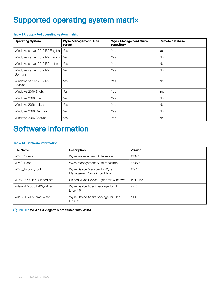### <span id="page-19-0"></span>Supported operating system matrix

#### Table 13. Supported operating system matrix

| <b>Operating System</b>           | <b>Wyse Management Suite</b><br>server | <b>Wyse Management Suite</b><br>repository | Remote database |
|-----------------------------------|----------------------------------------|--------------------------------------------|-----------------|
| Windows server 2012 R2 English    | Yes                                    | Yes                                        | Yes             |
| Windows server 2012 R2 French     | Yes                                    | Yes                                        | <b>No</b>       |
| Windows server 2012 R2 Italian    | Yes                                    | Yes                                        | <b>No</b>       |
| Windows server 2012 R2<br>German  | Yes                                    | Yes                                        | <b>No</b>       |
| Windows server 2012 R2<br>Spanish | Yes                                    | Yes                                        | <b>No</b>       |
| Windows 2016 English              | Yes                                    | Yes                                        | Yes             |
| Windows 2016 French               | Yes                                    | Yes                                        | <b>No</b>       |
| Windows 2016 Italian              | Yes                                    | Yes                                        | <b>No</b>       |
| Windows 2016 German               | Yes                                    | Yes                                        | <b>No</b>       |
| Windows 2016 Spanish              | Yes                                    | Yes                                        | <b>No</b>       |

## Software information

#### Table 14. Software information

| <b>File Name</b>           | <b>Description</b>                                          | Version    |
|----------------------------|-------------------------------------------------------------|------------|
| WMS 1.4.exe                | Wyse Management Suite server                                | 42073      |
| WMS_Repo                   | Wyse Management Suite repository                            | 42069      |
| WMS_Import_Tool            | Wyse Device Manager to Wyse<br>Management Suite import tool | 41937      |
| WDA_14.4.0.135_Unified.exe | Unified Wyse Device Agent for Windows                       | 14.4.0.135 |
| wda-2.4.3-00.01.x86 64.tar | Wyse Device Agent package for Thin<br>Linux $1.0$           | 2.4.3      |
| wda_3.4.6-05_amd64.tar     | Wyse Device Agent package for Thin<br>Linux $2.0$           | 3.4.6      |

#### NOTE: WDA 14.4.x agent is not tested with WDM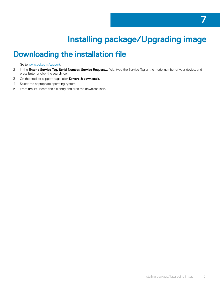# Installing package/Upgrading image

7

## <span id="page-20-0"></span>Downloading the installation file

1 Go to [www.dell.com/support.](https://www.dell.com/support)

- 2 In the Enter a Service Tag, Serial Number, Service Request... field, type the Service Tag or the model number of your device, and press Enter or click the search icon.
- 3 On the product support page, click **Drivers & downloads**.
- 4 Select the appropriate operating system.
- 5 From the list, locate the file entry and click the download icon.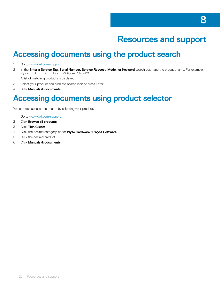## Resources and support

### <span id="page-21-0"></span>Accessing documents using the product search

- 1 Go to [www.dell.com/support.](https://www.dell.com/support)
- 2 In the Enter a Service Tag, Serial Number, Service Request, Model, or Keyword search box, type the product name. For example, Wyse 3040 thin client or Wyse ThinOS.
- A list of matching products is displayed.
- 3 Select your product and click the search icon or press Enter.
- 4 Click **Manuals & documents**.

#### Accessing documents using product selector

You can also access documents by selecting your product.

- 1 Go to [www.dell.com/support.](https://www.dell.com/support)
- 2 Click **Browse all products**.
- 3 Click Thin Clients.
- 4 Click the desired category, either Wyse Hardware or Wyse Software.
- 5 Click the desired product.
- 6 Click Manuals & documents.